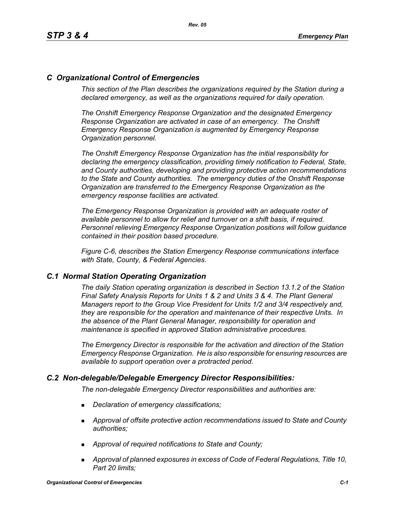# *C Organizational Control of Emergencies*

*This section of the Plan describes the organizations required by the Station during a declared emergency, as well as the organizations required for daily operation.*

*The Onshift Emergency Response Organization and the designated Emergency Response Organization are activated in case of an emergency. The Onshift Emergency Response Organization is augmented by Emergency Response Organization personnel.* 

*The Onshift Emergency Response Organization has the initial responsibility for declaring the emergency classification, providing timely notification to Federal, State, and County authorities, developing and providing protective action recommendations to the State and County authorities. The emergency duties of the Onshift Response Organization are transferred to the Emergency Response Organization as the emergency response facilities are activated.* 

*The Emergency Response Organization is provided with an adequate roster of available personnel to allow for relief and turnover on a shift basis, if required. Personnel relieving Emergency Response Organization positions will follow guidance contained in their position based procedure.*

*Figure C-6, describes the Station Emergency Response communications interface with State, County, & Federal Agencies.*

### *C.1 Normal Station Operating Organization*

*The daily Station operating organization is described in Section 13.1.2 of the Station Final Safety Analysis Reports for Units 1 & 2 and Units 3 & 4. The Plant General Managers report to the Group Vice President for Units 1/2 and 3/4 respectively and, they are responsible for the operation and maintenance of their respective Units. In the absence of the Plant General Manager, responsibility for operation and maintenance is specified in approved Station administrative procedures.*

*The Emergency Director is responsible for the activation and direction of the Station Emergency Response Organization. He is also responsible for ensuring resources are available to support operation over a protracted period.*

### *C.2 Non-delegable/Delegable Emergency Director Responsibilities:*

*The non-delegable Emergency Director responsibilities and authorities are:*

- *Declaration of emergency classifications;*
- *Approval of offsite protective action recommendations issued to State and County authorities;*
- *Approval of required notifications to State and County;*
- *Approval of planned exposures in excess of Code of Federal Regulations, Title 10, Part 20 limits;*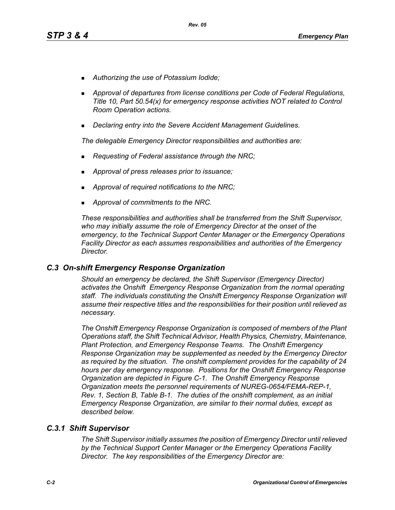- *Authorizing the use of Potassium Iodide;*
- *Approval of departures from license conditions per Code of Federal Regulations, Title 10, Part 50.54(x) for emergency response activities NOT related to Control Room Operation actions.*
- *Declaring entry into the Severe Accident Management Guidelines.*

*The delegable Emergency Director responsibilities and authorities are:*

- *Requesting of Federal assistance through the NRC;*
- *Approval of press releases prior to issuance;*
- *Approval of required notifications to the NRC;*
- *Approval of commitments to the NRC.*

*These responsibilities and authorities shall be transferred from the Shift Supervisor, who may initially assume the role of Emergency Director at the onset of the emergency, to the Technical Support Center Manager or the Emergency Operations Facility Director as each assumes responsibilities and authorities of the Emergency Director.*

### *C.3 On-shift Emergency Response Organization*

*Should an emergency be declared, the Shift Supervisor (Emergency Director) activates the Onshift Emergency Response Organization from the normal operating staff. The individuals constituting the Onshift Emergency Response Organization will assume their respective titles and the responsibilities for their position until relieved as necessary.*

*The Onshift Emergency Response Organization is composed of members of the Plant Operations staff, the Shift Technical Advisor, Health Physics, Chemistry, Maintenance, Plant Protection, and Emergency Response Teams. The Onshift Emergency Response Organization may be supplemented as needed by the Emergency Director as required by the situation. The onshift complement provides for the capability of 24 hours per day emergency response. Positions for the Onshift Emergency Response Organization are depicted in Figure C-1. The Onshift Emergency Response Organization meets the personnel requirements of NUREG-0654/FEMA-REP-1, Rev. 1, Section B, Table B-1. The duties of the onshift complement, as an initial Emergency Response Organization, are similar to their normal duties, except as described below.*

### *C.3.1 Shift Supervisor*

*The Shift Supervisor initially assumes the position of Emergency Director until relieved by the Technical Support Center Manager or the Emergency Operations Facility Director. The key responsibilities of the Emergency Director are:*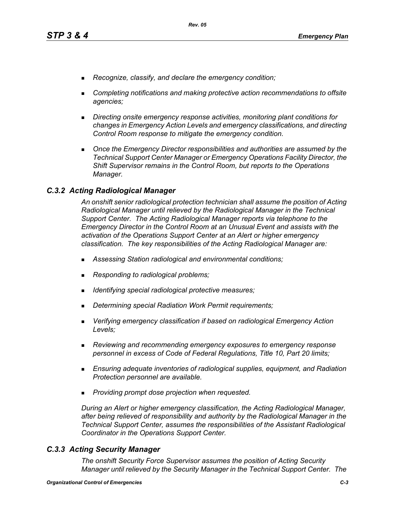- *Recognize, classify, and declare the emergency condition;*
- *Completing notifications and making protective action recommendations to offsite agencies;*
- *Directing onsite emergency response activities, monitoring plant conditions for changes in Emergency Action Levels and emergency classifications, and directing Control Room response to mitigate the emergency condition.*
- **Diangleh Emergency Director responsibilities and authorities are assumed by the** *Technical Support Center Manager or Emergency Operations Facility Director, the Shift Supervisor remains in the Control Room, but reports to the Operations Manager.*

### *C.3.2 Acting Radiological Manager*

*An onshift senior radiological protection technician shall assume the position of Acting Radiological Manager until relieved by the Radiological Manager in the Technical Support Center. The Acting Radiological Manager reports via telephone to the Emergency Director in the Control Room at an Unusual Event and assists with the activation of the Operations Support Center at an Alert or higher emergency classification. The key responsibilities of the Acting Radiological Manager are:*

- *Assessing Station radiological and environmental conditions;*
- *Responding to radiological problems;*
- *Identifying special radiological protective measures;*
- *Determining special Radiation Work Permit requirements;*
- *Verifying emergency classification if based on radiological Emergency Action Levels;*
- *Reviewing and recommending emergency exposures to emergency response personnel in excess of Code of Federal Regulations, Title 10, Part 20 limits;*
- *Ensuring adequate inventories of radiological supplies, equipment, and Radiation Protection personnel are available.*
- *Providing prompt dose projection when requested.*

*During an Alert or higher emergency classification, the Acting Radiological Manager, after being relieved of responsibility and authority by the Radiological Manager in the Technical Support Center, assumes the responsibilities of the Assistant Radiological Coordinator in the Operations Support Center.*

### *C.3.3 Acting Security Manager*

*The onshift Security Force Supervisor assumes the position of Acting Security Manager until relieved by the Security Manager in the Technical Support Center. The*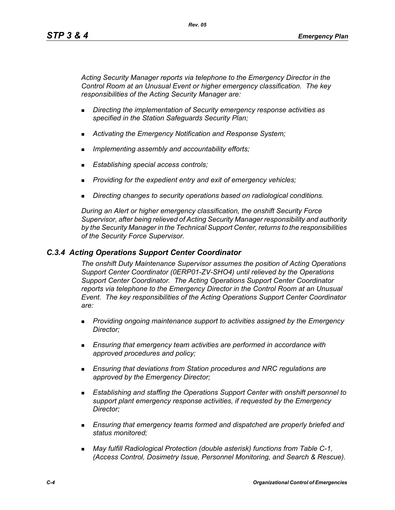*Acting Security Manager reports via telephone to the Emergency Director in the Control Room at an Unusual Event or higher emergency classification. The key responsibilities of the Acting Security Manager are:*

- *Directing the implementation of Security emergency response activities as specified in the Station Safeguards Security Plan;*
- *Activating the Emergency Notification and Response System;*
- *Implementing assembly and accountability efforts;*
- *Establishing special access controls;*
- *Providing for the expedient entry and exit of emergency vehicles;*
- *Directing changes to security operations based on radiological conditions.*

*During an Alert or higher emergency classification, the onshift Security Force Supervisor, after being relieved of Acting Security Manager responsibility and authority by the Security Manager in the Technical Support Center, returns to the responsibilities of the Security Force Supervisor.*

### *C.3.4 Acting Operations Support Center Coordinator*

*The onshift Duty Maintenance Supervisor assumes the position of Acting Operations Support Center Coordinator (0ERP01-ZV-SHO4) until relieved by the Operations Support Center Coordinator. The Acting Operations Support Center Coordinator reports via telephone to the Emergency Director in the Control Room at an Unusual Event. The key responsibilities of the Acting Operations Support Center Coordinator are:*

- *Providing ongoing maintenance support to activities assigned by the Emergency Director;*
- *Ensuring that emergency team activities are performed in accordance with approved procedures and policy;*
- *Ensuring that deviations from Station procedures and NRC regulations are approved by the Emergency Director;*
- *Establishing and staffing the Operations Support Center with onshift personnel to support plant emergency response activities, if requested by the Emergency Director;*
- *Ensuring that emergency teams formed and dispatched are properly briefed and status monitored;*
- *May fulfill Radiological Protection (double asterisk) functions from Table C-1, (Access Control, Dosimetry Issue, Personnel Monitoring, and Search & Rescue).*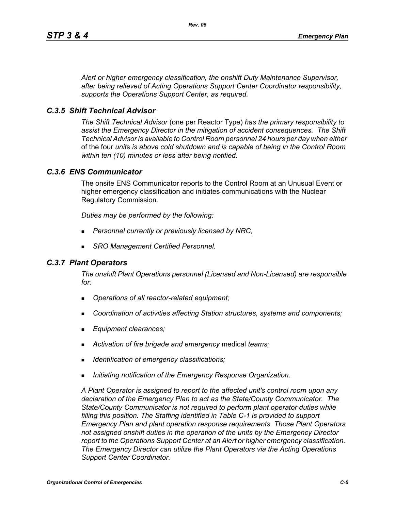*Alert or higher emergency classification, the onshift Duty Maintenance Supervisor, after being relieved of Acting Operations Support Center Coordinator responsibility, supports the Operations Support Center, as required.*

### *C.3.5 Shift Technical Advisor*

*The Shift Technical Advisor* (one per Reactor Type) *has the primary responsibility to assist the Emergency Director in the mitigation of accident consequences. The Shift Technical Advisor is available to Control Room personnel 24 hours per day when either*  of the four *unit*s *is above cold shutdown and is capable of being in the Control Room within ten (10) minutes or less after being notified.*

### *C.3.6 ENS Communicator*

The onsite ENS Communicator reports to the Control Room at an Unusual Event or higher emergency classification and initiates communications with the Nuclear Regulatory Commission.

*Duties may be performed by the following:*

- *Personnel currently or previously licensed by NRC,*
- *SRO Management Certified Personnel.*

### *C.3.7 Plant Operators*

*The onshift Plant Operations personnel (Licensed and Non-Licensed) are responsible for:*

- *Operations of all reactor-related equipment;*
- *Coordination of activities affecting Station structures, systems and components;*
- *Equipment clearances;*
- *Activation of fire brigade and emergency* medical *teams;*
- *Identification of emergency classifications;*
- *Initiating notification of the Emergency Response Organization.*

*A Plant Operator is assigned to report to the affected unit's control room upon any declaration of the Emergency Plan to act as the State/County Communicator. The State/County Communicator is not required to perform plant operator duties while filling this position. The Staffing identified in Table C-1 is provided to support Emergency Plan and plant operation response requirements. Those Plant Operators not assigned onshift duties in the operation of the units by the Emergency Director report to the Operations Support Center at an Alert or higher emergency classification. The Emergency Director can utilize the Plant Operators via the Acting Operations Support Center Coordinator.*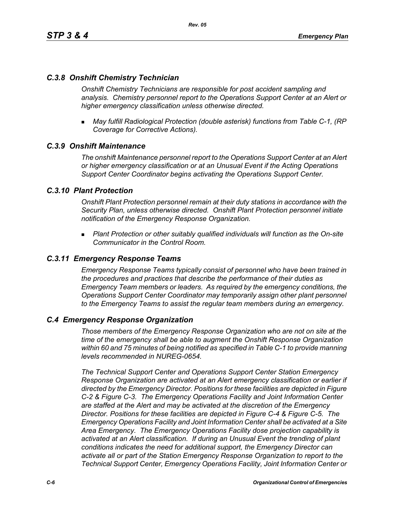### *C.3.8 Onshift Chemistry Technician*

*Onshift Chemistry Technicians are responsible for post accident sampling and analysis. Chemistry personnel report to the Operations Support Center at an Alert or higher emergency classification unless otherwise directed.*

 *May fulfill Radiological Protection (double asterisk) functions from Table C-1, (RP Coverage for Corrective Actions).*

### *C.3.9 Onshift Maintenance*

*The onshift Maintenance personnel report to the Operations Support Center at an Alert or higher emergency classification or at an Unusual Event if the Acting Operations Support Center Coordinator begins activating the Operations Support Center.*

### *C.3.10 Plant Protection*

*Onshift Plant Protection personnel remain at their duty stations in accordance with the Security Plan, unless otherwise directed. Onshift Plant Protection personnel initiate notification of the Emergency Response Organization.*

 *Plant Protection or other suitably qualified individuals will function as the On-site Communicator in the Control Room.*

### *C.3.11 Emergency Response Teams*

*Emergency Response Teams typically consist of personnel who have been trained in the procedures and practices that describe the performance of their duties as Emergency Team members or leaders. As required by the emergency conditions, the Operations Support Center Coordinator may temporarily assign other plant personnel to the Emergency Teams to assist the regular team members during an emergency.*

### *C.4 Emergency Response Organization*

*Those members of the Emergency Response Organization who are not on site at the time of the emergency shall be able to augment the Onshift Response Organization within 60 and 75 minutes of being notified as specified in Table C-1 to provide manning levels recommended in NUREG-0654.*

*The Technical Support Center and Operations Support Center Station Emergency Response Organization are activated at an Alert emergency classification or earlier if directed by the Emergency Director. Positions for these facilities are depicted in Figure C-2 & Figure C-3. The Emergency Operations Facility and Joint Information Center are staffed at the Alert and may be activated at the discretion of the Emergency Director. Positions for these facilities are depicted in Figure C-4 & Figure C-5. The Emergency Operations Facility and Joint Information Center shall be activated at a Site Area Emergency. The Emergency Operations Facility dose projection capability is activated at an Alert classification. If during an Unusual Event the trending of plant conditions indicates the need for additional support, the Emergency Director can activate all or part of the Station Emergency Response Organization to report to the Technical Support Center, Emergency Operations Facility, Joint Information Center or*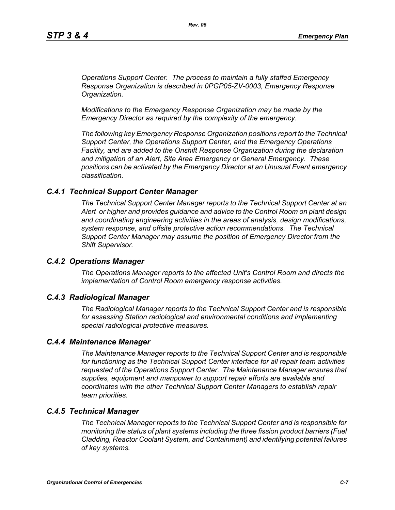*Operations Support Center. The process to maintain a fully staffed Emergency Response Organization is described in 0PGP05-ZV-0003, Emergency Response Organization.*

*Modifications to the Emergency Response Organization may be made by the Emergency Director as required by the complexity of the emergency.*

*The following key Emergency Response Organization positions report to the Technical Support Center, the Operations Support Center, and the Emergency Operations Facility, and are added to the Onshift Response Organization during the declaration and mitigation of an Alert, Site Area Emergency or General Emergency. These positions can be activated by the Emergency Director at an Unusual Event emergency classification.*

#### *C.4.1 Technical Support Center Manager*

*The Technical Support Center Manager reports to the Technical Support Center at an Alert or higher and provides guidance and advice to the Control Room on plant design and coordinating engineering activities in the areas of analysis, design modifications, system response, and offsite protective action recommendations. The Technical Support Center Manager may assume the position of Emergency Director from the Shift Supervisor.*

#### *C.4.2 Operations Manager*

*The Operations Manager reports to the affected Unit's Control Room and directs the implementation of Control Room emergency response activities.*

#### *C.4.3 Radiological Manager*

*The Radiological Manager reports to the Technical Support Center and is responsible for assessing Station radiological and environmental conditions and implementing special radiological protective measures.*

#### *C.4.4 Maintenance Manager*

*The Maintenance Manager reports to the Technical Support Center and is responsible for functioning as the Technical Support Center interface for all repair team activities requested of the Operations Support Center. The Maintenance Manager ensures that supplies, equipment and manpower to support repair efforts are available and coordinates with the other Technical Support Center Managers to establish repair team priorities.* 

#### *C.4.5 Technical Manager*

*The Technical Manager reports to the Technical Support Center and is responsible for monitoring the status of plant systems including the three fission product barriers (Fuel Cladding, Reactor Coolant System, and Containment) and identifying potential failures of key systems.*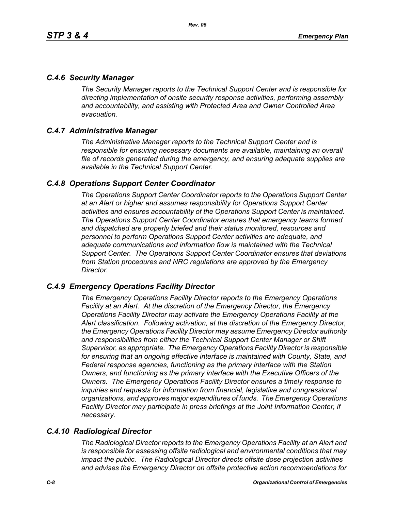### *C.4.6 Security Manager*

*The Security Manager reports to the Technical Support Center and is responsible for directing implementation of onsite security response activities, performing assembly and accountability, and assisting with Protected Area and Owner Controlled Area evacuation.* 

## *C.4.7 Administrative Manager*

*The Administrative Manager reports to the Technical Support Center and is responsible for ensuring necessary documents are available, maintaining an overall file of records generated during the emergency, and ensuring adequate supplies are available in the Technical Support Center.* 

### *C.4.8 Operations Support Center Coordinator*

*The Operations Support Center Coordinator reports to the Operations Support Center at an Alert or higher and assumes responsibility for Operations Support Center activities and ensures accountability of the Operations Support Center is maintained. The Operations Support Center Coordinator ensures that emergency teams formed and dispatched are properly briefed and their status monitored, resources and personnel to perform Operations Support Center activities are adequate, and adequate communications and information flow is maintained with the Technical Support Center. The Operations Support Center Coordinator ensures that deviations from Station procedures and NRC regulations are approved by the Emergency Director.* 

### *C.4.9 Emergency Operations Facility Director*

*The Emergency Operations Facility Director reports to the Emergency Operations Facility at an Alert. At the discretion of the Emergency Director, the Emergency Operations Facility Director may activate the Emergency Operations Facility at the Alert classification. Following activation, at the discretion of the Emergency Director, the Emergency Operations Facility Director may assume Emergency Director authority and responsibilities from either the Technical Support Center Manager or Shift Supervisor, as appropriate. The Emergency Operations Facility Director is responsible*  for ensuring that an ongoing effective interface is maintained with County, State, and *Federal response agencies, functioning as the primary interface with the Station Owners, and functioning as the primary interface with the Executive Officers of the Owners. The Emergency Operations Facility Director ensures a timely response to inquiries and requests for information from financial, legislative and congressional organizations, and approves major expenditures of funds. The Emergency Operations Facility Director may participate in press briefings at the Joint Information Center, if necessary.* 

# *C.4.10 Radiological Director*

*The Radiological Director reports to the Emergency Operations Facility at an Alert and is responsible for assessing offsite radiological and environmental conditions that may impact the public. The Radiological Director directs offsite dose projection activities and advises the Emergency Director on offsite protective action recommendations for*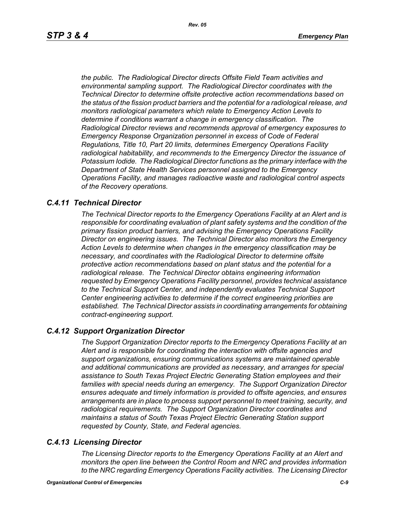*the public. The Radiological Director directs Offsite Field Team activities and environmental sampling support. The Radiological Director coordinates with the Technical Director to determine offsite protective action recommendations based on the status of the fission product barriers and the potential for a radiological release, and monitors radiological parameters which relate to Emergency Action Levels to determine if conditions warrant a change in emergency classification. The Radiological Director reviews and recommends approval of emergency exposures to Emergency Response Organization personnel in excess of Code of Federal Regulations, Title 10, Part 20 limits, determines Emergency Operations Facility radiological habitability, and recommends to the Emergency Director the issuance of Potassium Iodide. The Radiological Director functions as the primary interface with the Department of State Health Services personnel assigned to the Emergency Operations Facility, and manages radioactive waste and radiological control aspects of the Recovery operations.* 

### *C.4.11 Technical Director*

*The Technical Director reports to the Emergency Operations Facility at an Alert and is responsible for coordinating evaluation of plant safety systems and the condition of the primary fission product barriers, and advising the Emergency Operations Facility Director on engineering issues. The Technical Director also monitors the Emergency Action Levels to determine when changes in the emergency classification may be necessary, and coordinates with the Radiological Director to determine offsite protective action recommendations based on plant status and the potential for a radiological release. The Technical Director obtains engineering information requested by Emergency Operations Facility personnel, provides technical assistance to the Technical Support Center, and independently evaluates Technical Support Center engineering activities to determine if the correct engineering priorities are established. The Technical Director assists in coordinating arrangements for obtaining contract-engineering support.* 

### *C.4.12 Support Organization Director*

*The Support Organization Director reports to the Emergency Operations Facility at an Alert and is responsible for coordinating the interaction with offsite agencies and support organizations, ensuring communications systems are maintained operable and additional communications are provided as necessary, and arranges for special assistance to South Texas Project Electric Generating Station employees and their families with special needs during an emergency. The Support Organization Director ensures adequate and timely information is provided to offsite agencies, and ensures arrangements are in place to process support personnel to meet training, security, and radiological requirements. The Support Organization Director coordinates and maintains a status of South Texas Project Electric Generating Station support requested by County, State, and Federal agencies.*

### *C.4.13 Licensing Director*

*The Licensing Director reports to the Emergency Operations Facility at an Alert and monitors the open line between the Control Room and NRC and provides information to the NRC regarding Emergency Operations Facility activities. The Licensing Director*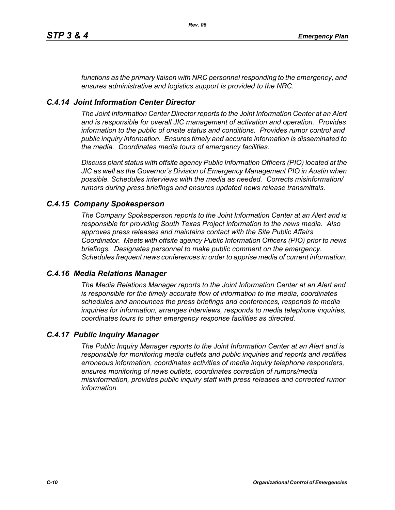*functions as the primary liaison with NRC personnel responding to the emergency, and ensures administrative and logistics support is provided to the NRC.*

## *C.4.14 Joint Information Center Director*

*The Joint Information Center Director reports to the Joint Information Center at an Alert and is responsible for overall JIC management of activation and operation. Provides information to the public of onsite status and conditions. Provides rumor control and public inquiry information. Ensures timely and accurate information is disseminated to the media. Coordinates media tours of emergency facilities.* 

*Discuss plant status with offsite agency Public Information Officers (PIO) located at the JIC as well as the Governor's Division of Emergency Management PIO in Austin when possible. Schedules interviews with the media as needed. Corrects misinformation/ rumors during press briefings and ensures updated news release transmittals.*

### *C.4.15 Company Spokesperson*

*The Company Spokesperson reports to the Joint Information Center at an Alert and is responsible for providing South Texas Project information to the news media. Also approves press releases and maintains contact with the Site Public Affairs Coordinator. Meets with offsite agency Public Information Officers (PIO) prior to news briefings. Designates personnel to make public comment on the emergency. Schedules frequent news conferences in order to apprise media of current information.* 

### *C.4.16 Media Relations Manager*

*The Media Relations Manager reports to the Joint Information Center at an Alert and is responsible for the timely accurate flow of information to the media, coordinates schedules and announces the press briefings and conferences, responds to media inquiries for information, arranges interviews, responds to media telephone inquiries, coordinates tours to other emergency response facilities as directed.*

### *C.4.17 Public Inquiry Manager*

*The Public Inquiry Manager reports to the Joint Information Center at an Alert and is responsible for monitoring media outlets and public inquiries and reports and rectifies erroneous information, coordinates activities of media inquiry telephone responders, ensures monitoring of news outlets, coordinates correction of rumors/media misinformation, provides public inquiry staff with press releases and corrected rumor information.*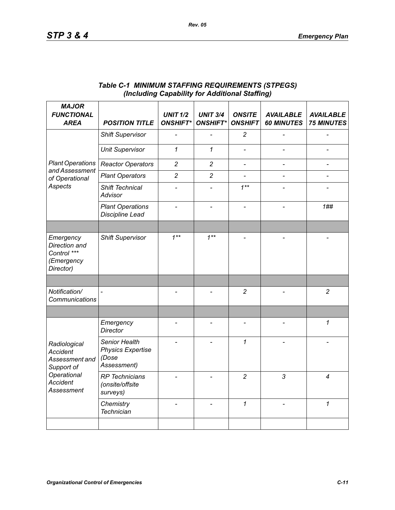| <b>MAJOR</b><br><b>FUNCTIONAL</b><br><b>AREA</b>                                                                       | <b>POSITION TITLE</b>                                             | <b>UNIT 1/2</b><br><b>ONSHIFT*</b> | <b>UNIT 3/4</b><br><b>ONSHIFT*</b> | <b>ONSITE</b><br><b>ONSHIFT</b> | <b>AVAILABLE</b><br><b>60 MINUTES</b> | <b>AVAILABLE</b><br><b>75 MINUTES</b> |
|------------------------------------------------------------------------------------------------------------------------|-------------------------------------------------------------------|------------------------------------|------------------------------------|---------------------------------|---------------------------------------|---------------------------------------|
| <b>Plant Operations</b><br>and Assessment<br>of Operational<br>Aspects                                                 | <b>Shift Supervisor</b>                                           |                                    |                                    | $\overline{c}$                  |                                       |                                       |
|                                                                                                                        | <b>Unit Supervisor</b>                                            | $\mathcal I$                       | $\mathbf{1}$                       |                                 |                                       |                                       |
|                                                                                                                        | <b>Reactor Operators</b>                                          | $\overline{c}$                     | $\overline{c}$                     | $\frac{1}{2}$                   |                                       | $\qquad \qquad \blacksquare$          |
|                                                                                                                        | <b>Plant Operators</b>                                            | $\overline{2}$                     | $\overline{2}$                     | $\overline{\phantom{a}}$        |                                       |                                       |
|                                                                                                                        | Shift Technical<br><b>Advisor</b>                                 |                                    |                                    | $1***$                          |                                       |                                       |
|                                                                                                                        | <b>Plant Operations</b><br>Discipline Lead                        |                                    |                                    |                                 |                                       | 1##                                   |
|                                                                                                                        |                                                                   |                                    |                                    |                                 |                                       |                                       |
| Emergency<br>Direction and<br>Control ***<br>(Emergency<br>Director)                                                   | <b>Shift Supervisor</b>                                           | $1***$                             | $1***$                             |                                 |                                       |                                       |
|                                                                                                                        |                                                                   |                                    |                                    |                                 |                                       |                                       |
| Notification/<br>Communications                                                                                        |                                                                   |                                    |                                    | $\overline{c}$                  |                                       | $\overline{c}$                        |
|                                                                                                                        |                                                                   |                                    |                                    |                                 |                                       |                                       |
| Radiological<br><b>Accident</b><br>Assessment and<br>Support of<br>Operational<br><b>Accident</b><br><b>Assessment</b> | Emergency<br><b>Director</b>                                      |                                    | $\overline{\phantom{0}}$           | $\overline{\phantom{a}}$        |                                       | 1                                     |
|                                                                                                                        | Senior Health<br><b>Physics Expertise</b><br>(Dose<br>Assessment) |                                    |                                    | 1                               |                                       |                                       |
|                                                                                                                        | <b>RP</b> Technicians<br>(onsite/offsite<br>surveys)              |                                    |                                    | $\overline{c}$                  | 3                                     | 4                                     |
|                                                                                                                        | Chemistry<br><b>Technician</b>                                    |                                    |                                    | $\mathbf{1}$                    |                                       | $\mathbf{1}$                          |
|                                                                                                                        |                                                                   |                                    |                                    |                                 |                                       |                                       |

### *Table C-1 MINIMUM STAFFING REQUIREMENTS (STPEGS) (Including Capability for Additional Staffing)*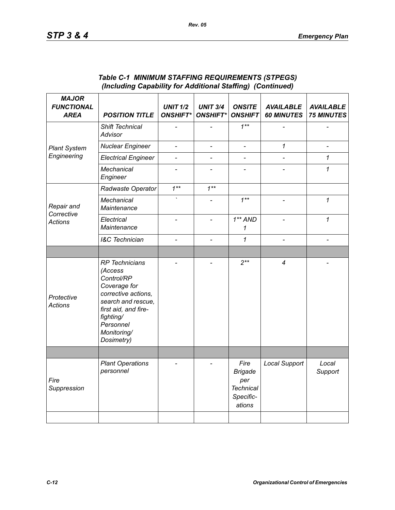| <b>MAJOR</b><br><b>FUNCTIONAL</b><br><b>AREA</b> | <b>POSITION TITLE</b>                                                                                                                                                                      | <b>UNIT 1/2</b><br><b>ONSHIFT*</b> | <b>UNIT 3/4</b><br><b>ONSHIFT*</b> | <b>ONSITE</b><br><b>ONSHIFT</b>                                          | <b>AVAILABLE</b><br><b>60 MINUTES</b> | <b>AVAILABLE</b><br><b>75 MINUTES</b> |
|--------------------------------------------------|--------------------------------------------------------------------------------------------------------------------------------------------------------------------------------------------|------------------------------------|------------------------------------|--------------------------------------------------------------------------|---------------------------------------|---------------------------------------|
| <b>Plant System</b><br>Engineering               | Shift Technical<br>Advisor                                                                                                                                                                 |                                    |                                    | $1***$                                                                   |                                       |                                       |
|                                                  | <b>Nuclear Engineer</b>                                                                                                                                                                    | $\overline{\phantom{0}}$           | $\qquad \qquad \blacksquare$       | $\qquad \qquad \blacksquare$                                             | $\mathcal I$                          | $\overline{a}$                        |
|                                                  | <b>Electrical Engineer</b>                                                                                                                                                                 | $\overline{a}$                     | $\overline{a}$                     | $\overline{a}$                                                           |                                       | 1                                     |
|                                                  | <b>Mechanical</b><br>Engineer                                                                                                                                                              |                                    |                                    |                                                                          |                                       | 1                                     |
| Repair and<br>Corrective<br><b>Actions</b>       | Radwaste Operator                                                                                                                                                                          | $1***$                             | $1***$                             |                                                                          |                                       |                                       |
|                                                  | <b>Mechanical</b><br>Maintenance                                                                                                                                                           |                                    |                                    | $1***$                                                                   |                                       | 1                                     |
|                                                  | Electrical<br>Maintenance                                                                                                                                                                  |                                    | $\overline{a}$                     | $1**AND$<br>1                                                            |                                       | $\mathcal I$                          |
|                                                  | <b>I&amp;C</b> Technician                                                                                                                                                                  |                                    | $\overline{\phantom{0}}$           | 1                                                                        |                                       |                                       |
|                                                  |                                                                                                                                                                                            |                                    |                                    |                                                                          |                                       |                                       |
| Protective<br><b>Actions</b>                     | <b>RP</b> Technicians<br>(Access<br>Control/RP<br>Coverage for<br>corrective actions,<br>search and rescue,<br>first aid, and fire-<br>fighting/<br>Personnel<br>Monitoring/<br>Dosimetry) |                                    |                                    | $2***$                                                                   | 4                                     |                                       |
|                                                  |                                                                                                                                                                                            |                                    |                                    |                                                                          |                                       |                                       |
| Fire<br>Suppression                              | <b>Plant Operations</b><br>personnel                                                                                                                                                       |                                    |                                    | Fire<br><b>Brigade</b><br>per<br><b>Technical</b><br>Specific-<br>ations | <b>Local Support</b>                  | Local<br>Support                      |
|                                                  |                                                                                                                                                                                            |                                    |                                    |                                                                          |                                       |                                       |

### *Table C-1 MINIMUM STAFFING REQUIREMENTS (STPEGS) (Including Capability for Additional Staffing) (Continued)*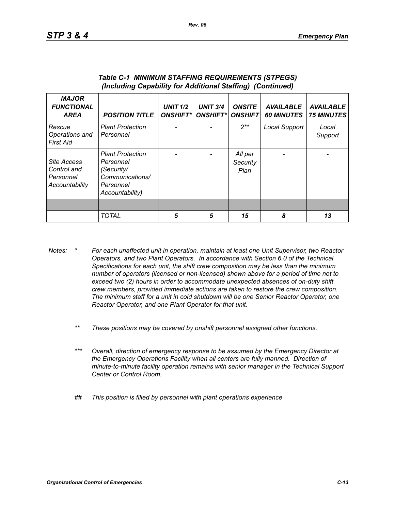| <b>MAJOR</b><br><b>FUNCTIONAL</b><br><b>AREA</b>          | <b>POSITION TITLE</b>                                                                                 | <b>UNIT 1/2</b><br><b>ONSHIFT*</b> | <b>UNIT 3/4</b><br><b>ONSHIFT*I</b> | <b>ONSITE</b><br><b>ONSHIFT</b> | <b>AVAILABLE</b><br><b>60 MINUTES</b> | <b>AVAILABLE</b><br><b>75 MINUTES</b> |
|-----------------------------------------------------------|-------------------------------------------------------------------------------------------------------|------------------------------------|-------------------------------------|---------------------------------|---------------------------------------|---------------------------------------|
| Rescue<br>Operations and<br>First Aid                     | <b>Plant Protection</b><br>Personnel                                                                  |                                    |                                     | $2**$                           | Local Support                         | Local<br>Support                      |
| Site Access<br>Control and<br>Personnel<br>Accountability | <b>Plant Protection</b><br>Personnel<br>(Security/<br>Communications/<br>Personnel<br>Accountability) |                                    |                                     | All per<br>Security<br>Plan     |                                       |                                       |
|                                                           |                                                                                                       |                                    |                                     |                                 |                                       |                                       |
|                                                           | <b>TOTAL</b>                                                                                          | 5                                  | 5                                   | 15                              | 8                                     | 13                                    |

#### *Table C-1 MINIMUM STAFFING REQUIREMENTS (STPEGS) (Including Capability for Additional Staffing) (Continued)*

- *Notes: \* For each unaffected unit in operation, maintain at least one Unit Supervisor, two Reactor Operators, and two Plant Operators. In accordance with Section 6.0 of the Technical Specifications for each unit, the shift crew composition may be less than the minimum number of operators (licensed or non-licensed) shown above for a period of time not to exceed two (2) hours in order to accommodate unexpected absences of on-duty shift crew members, provided immediate actions are taken to restore the crew composition. The minimum staff for a unit in cold shutdown will be one Senior Reactor Operator, one Reactor Operator, and one Plant Operator for that unit.*
	- *\*\* These positions may be covered by onshift personnel assigned other functions.*
	- *\*\*\* Overall, direction of emergency response to be assumed by the Emergency Director at the Emergency Operations Facility when all centers are fully manned. Direction of minute-to-minute facility operation remains with senior manager in the Technical Support Center or Control Room.*
	- *## This position is filled by personnel with plant operations experience*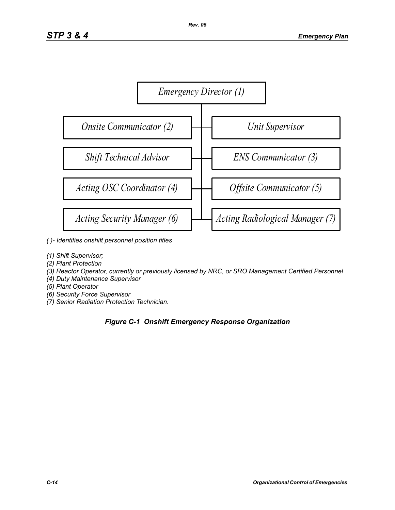

- *( )- Identifies onshift personnel position titles*
- *(1) Shift Supervisor;*
- *(2) Plant Protection*
- *(3) Reactor Operator, currently or previously licensed by NRC, or SRO Management Certified Personnel*
- *(4) Duty Maintenance Supervisor*
- *(5) Plant Operator*
- *(6) Security Force Supervisor*
- *(7) Senior Radiation Protection Technician.*

### *Figure C-1 Onshift Emergency Response Organization*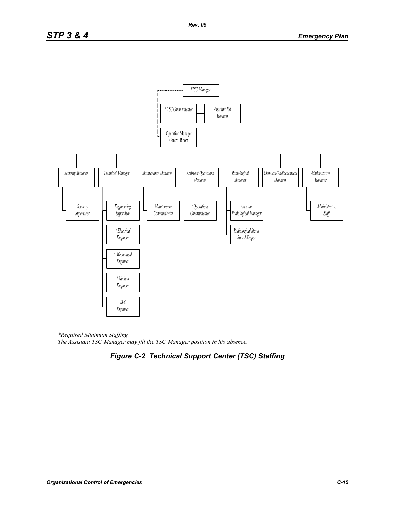

*\*Required Minimum Staffing. The Assistant TSC Manager may fill the TSC Manager position in his absence.* 

# *Figure C-2 Technical Support Center (TSC) Staffing*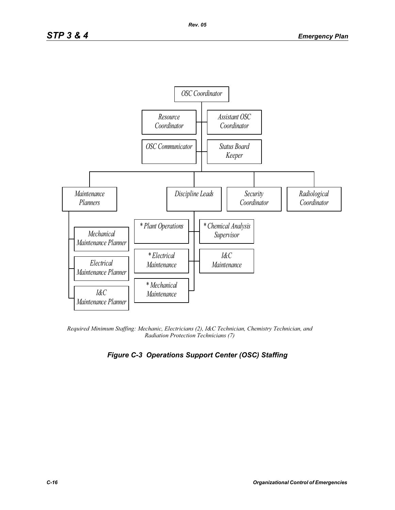

*Required Minimum Staffing: Mechanic, Electricians (2), I&C Technician, Chemistry Technician, and Radiation Protection Technicians (7)* 

# *Figure C-3 Operations Support Center (OSC) Staffing*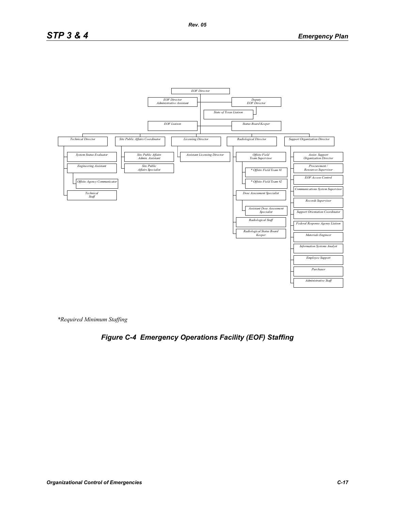# *STP 3 & 4 Emergency Plan*



*Rev. 05*

*\*Required Minimum Staffing*

# *Figure C-4 Emergency Operations Facility (EOF) Staffing*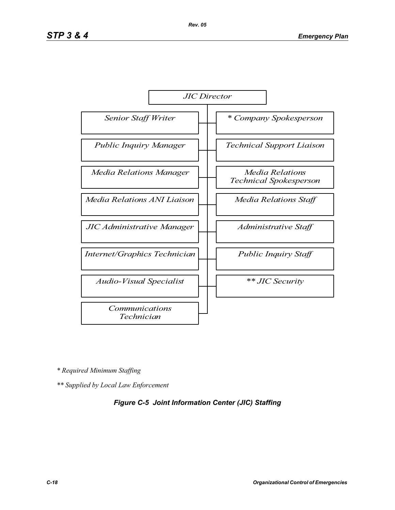

*\* Required Minimum Staffing*

*\*\* Supplied by Local Law Enforcement* 

### *Figure C-5 Joint Information Center (JIC) Staffing*